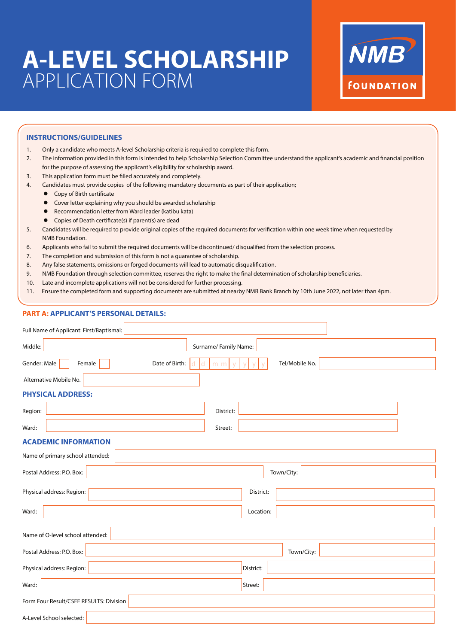# **A-LEVEL SCHOLARSHIP**  APPLICATION FORM



#### **INSTRUCTIONS/GUIDELINES**

- 1. Only a candidate who meets A-level Scholarship criteria is required to complete this form.
- 2. The information provided in this form is intended to help Scholarship Selection Committee understand the applicant's academic and financial position for the purpose of assessing the applicant's eligibility for scholarship award.
- 3. This application form must be filled accurately and completely.
- 4. Candidates must provide copies of the following mandatory documents as part of their application;
	- Copy of Birth certificate
	- **•** Cover letter explaining why you should be awarded scholarship
	- Recommendation letter from Ward leader (katibu kata)
	- $\bullet$  Copies of Death certificate(s) if parent(s) are dead
- 5. Candidates will be required to provide original copies of the required documents for verification within one week time when requested by NMB Foundation.
- 6. Applicants who fail to submit the required documents will be discontinued/ disqualied from the selection process.
- 7. The completion and submission of this form is not a guarantee of scholarship.
- 8. Any false statements, omissions or forged documents will lead to automatic disqualification.
- 9. NMB Foundation through selection committee, reserves the right to make the final determination of scholarship beneficiaries.
- 10. Late and incomplete applications will not be considered for further processing.
- 11. Ensure the completed form and supporting documents are submitted at nearby NMB Bank Branch by 10th June 2022, not later than 4pm.

#### **PART A: APPLICANT'S PERSONAL DETAILS:**

| Full Name of Applicant: First/Baptismal:                     |                     |  |  |  |  |
|--------------------------------------------------------------|---------------------|--|--|--|--|
| Middle:<br>Surname/Family Name:                              |                     |  |  |  |  |
| Date of Birth:<br>Gender: Male<br>Female<br>d<br>m<br>d<br>m | Tel/Mobile No.<br>v |  |  |  |  |
| Alternative Mobile No.                                       |                     |  |  |  |  |
| <b>PHYSICAL ADDRESS:</b>                                     |                     |  |  |  |  |
| District:<br>Region:                                         |                     |  |  |  |  |
| Ward:<br>Street:                                             |                     |  |  |  |  |
| <b>ACADEMIC INFORMATION</b>                                  |                     |  |  |  |  |
| Name of primary school attended:                             |                     |  |  |  |  |
| Postal Address: P.O. Box:                                    | Town/City:          |  |  |  |  |
| Physical address: Region:                                    | District:           |  |  |  |  |
| Ward:                                                        | Location:           |  |  |  |  |
| Name of O-level school attended:                             |                     |  |  |  |  |
| Postal Address: P.O. Box:                                    | Town/City:          |  |  |  |  |
| Physical address: Region:                                    | District:           |  |  |  |  |
| Ward:                                                        | Street:             |  |  |  |  |
| Form Four Result/CSEE RESULTS: Division                      |                     |  |  |  |  |
| A-Level School selected:                                     |                     |  |  |  |  |